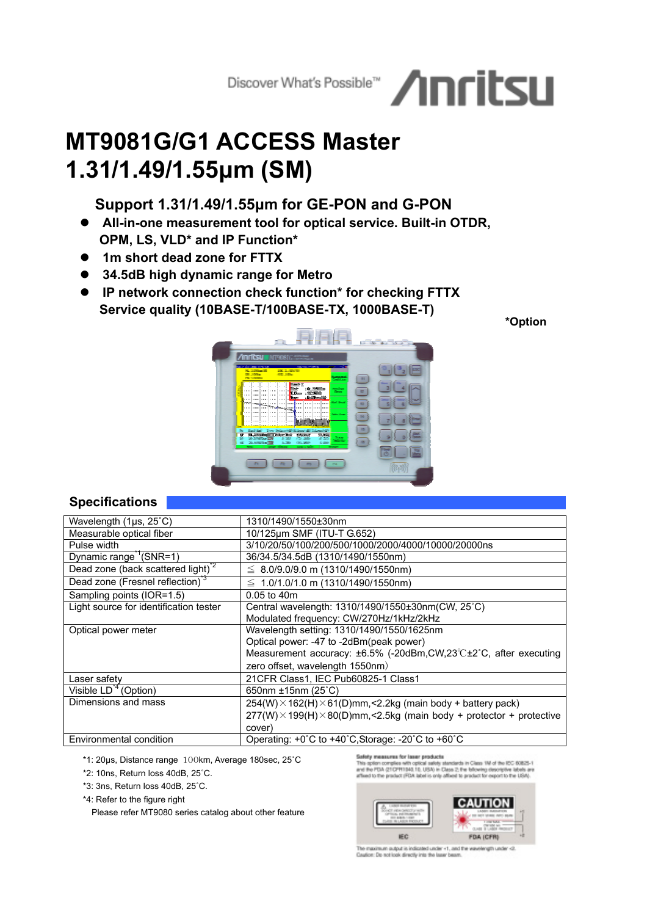# Discover What's Possible<sup>w</sup> Anrits

# **MT9081G/G1 ACCESS Master 1.31/1.49/1.55µm (SM)**

## **Support 1.31/1.49/1.55µm for GE-PON and G-PON**

- **All-in-one measurement tool for optical service. Built-in OTDR, OPM, LS, VLD\* and IP Function\***
- **1m short dead zone for FTTX**
- **34.5dB high dynamic range for Metro**
- **IP network connection check function\* for checking FTTX Service quality (10BASE-T/100BASE-TX, 1000BASE-T)**

**\*Option**



### **Specifications**

\*1: 20µs, Distance range 100km, Average 180sec, 25˚C

\*2: 10ns, Return loss 40dB, 25˚C.

\*3: 3ns, Return loss 40dB, 25˚C.

\*4: Refer to the figure right

Please refer MT9080 series catalog about other feature

Safety measures for laser products<br>This splite complex will optical select standards in Class 1M of the ICC 60825-1<br>and the PDA (21/2PR1943.10, USA) in Class 2, the following descriptive labels are<br>affect to the product (P



The maximum autput is indicated under +1, and the wavelength under <br/>-2 Cautom De not look directly into the laser beam.